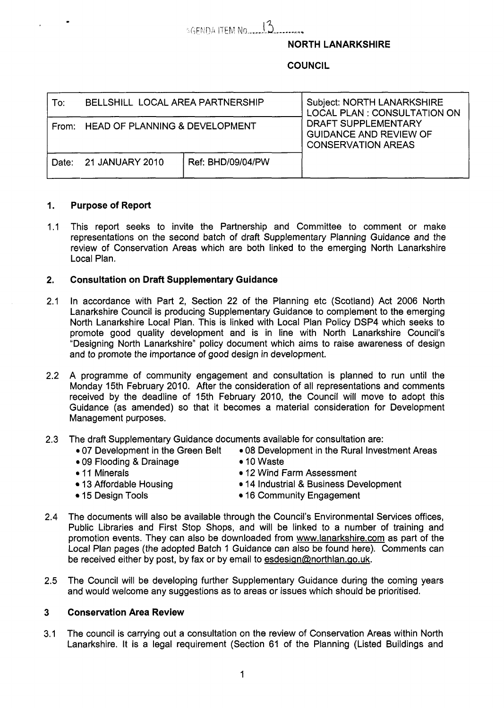# **SGENDA ITEM NO.** 13

### NORTH LANARKSHIRE

## **COUNCIL**

| To: | BELLSHILL LOCAL AREA PARTNERSHIP     |                   | <b>Subject: NORTH LANARKSHIRE</b><br>LOCAL PLAN : CONSULTATION ON<br>DRAFT SUPPLEMENTARY<br><b>GUIDANCE AND REVIEW OF</b><br><b>CONSERVATION AREAS</b> |
|-----|--------------------------------------|-------------------|--------------------------------------------------------------------------------------------------------------------------------------------------------|
|     | From: HEAD OF PLANNING & DEVELOPMENT |                   |                                                                                                                                                        |
|     | Date: 21 JANUARY 2010                | Ref: BHD/09/04/PW |                                                                                                                                                        |

### **1.**  Purpose **of** Report

 $1.1$ This report seeks to invite the Partnership and Committee to comment or make representations on the second batch of draft Supplementary Planning Guidance and the review of Conservation Areas which are both linked to the emerging North Lanarkshire Local Plan.

### **2.**  Consultation on **Draft** Supplementary Guidance

- 2.1 In accordance with Part 2, Section 22 of the Planning etc (Scotland) Act 2006 North Lanarkshire Council is producing Supplementary Guidance to complement to the emerging North Lanarkshire Local Plan. This is linked with Local Plan Policy DSP4 which seeks to promote good quality development and is in line with North Lanarkshire Council's "Designing North Lanarkshire'' policy document which aims to raise awareness of design and to promote the importance of good design in development.
- 2.2 A programme of community engagement and consultation is planned to run until the Monday 15th February 2010. After the consideration of all representations and comments received by the deadline of 15th February 2010, the Council will move to adopt this Guidance (as amended) so that it becomes a material consideration for Development Management purposes.
- 2.3 The draft Supplementary Guidance documents available for consultation are:
	- *0* 07 Development in the Green Belt *<sup>0</sup>*08 Development in the Rural Investment Areas
	- *0* 09 Flooding & Drainage
	- *0* 11 Minerals
	- 13 Affordable Housing
- 10 Waste 12 Wind Farm Assessment
- 
- 14 Industrial & Business Development

15 Design Tools

- 16 Community Engagement
- 2.4 The documents will also be available through the Council's Environmental Services offices, Public Libraries and First Stop Shops, and will be linked to a number of training and promotion events. They can also be downloaded from [www.lanarkshire.com](http://www.lanarkshire.com) as part of the Local Plan pages (the adopted Batch 1 Guidance can also be found here). Comments can be received either by post, by fax or by email to esdesign@northlan.go.uk.
- 2.5 The Council will be developing further Supplementary Guidance during the coming years and would welcome any suggestions as to areas or issues which should be prioritised.

#### **3**  Conservation Area Review

3.1 The council is carrying out a consultation on the review of Conservation Areas within North Lanarkshire. It is a legal requirement (Section 61 of the Planning (Listed Buildings and